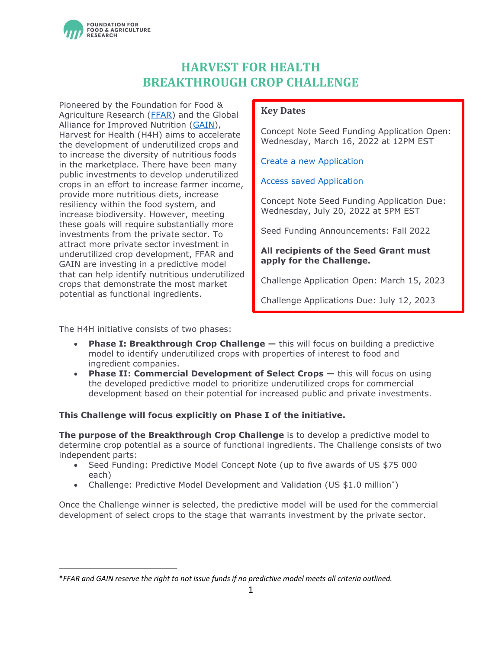

# **HARVEST FOR HEALTH BREAKTHROUGH CROP CHALLENGE**

Pioneered by the Foundation for Food & Agriculture Research [\(FFAR\)](https://foundationfar.org/) and the Global Alliance for Improved Nutrition [\(GAIN\)](https://www.gainhealth.org/homepage), Harvest for Health (H4H) aims to accelerate the development of underutilized crops and to increase the diversity of nutritious foods in the marketplace. There have been many public investments to develop underutilized crops in an effort to increase farmer income, provide more nutritious diets, increase resiliency within the food system, and increase biodiversity. However, meeting these goals will require substantially more investments from the private sector. To attract more private sector investment in underutilized crop development, FFAR and GAIN are investing in a predictive model that can help identify nutritious underutilized crops that demonstrate the most market potential as functional ingredients.

## **Key Dates**

Concept Note Seed Funding Application Open: Wednesday, March 16, 2022 at 12PM EST

[Create a new Application](https://www.grantrequest.com/SID_6242?SA=SNA&FID=35056)

#### [Access saved Application](https://www.grantrequest.com/SID_6242)

Concept Note Seed Funding Application Due: Wednesday, July 20, 2022 at 5PM EST

Seed Funding Announcements: Fall 2022

## **All recipients of the Seed Grant must apply for the Challenge.**

Challenge Application Open: March 15, 2023

<span id="page-0-0"></span>Challenge Applications Due: July 12, 2023

The H4H initiative consists of two phases:

- **Phase I: Breakthrough Crop Challenge —** this will focus on building a predictive model to identify underutilized crops with properties of interest to food and ingredient companies.
- **Phase II: Commercial Development of Select Crops —** this will focus on using the developed predictive model to prioritize underutilized crops for commercial development based on their potential for increased public and private investments.

## **This Challenge will focus explicitly on Phase I of the initiative.**

**The purpose of the Breakthrough Crop Challenge** is to develop a predictive model to determine crop potential as a source of functional ingredients. The Challenge consists of two independent parts:

- Seed Funding: Predictive Model Concept Note (up to five awards of US \$75 000 each)
- Challenge: Predictive Model Development and Validation (US \$1.0 million<sup>\*</sup>)

Once the Challenge winner is selected, the predictive model will be used for the commercial development of select crops to the stage that warrants investment by the private sector.

<sup>\*</sup>*FFAR and GAIN reserve the right to not issue funds if no predictive model meets all criteria outlined.*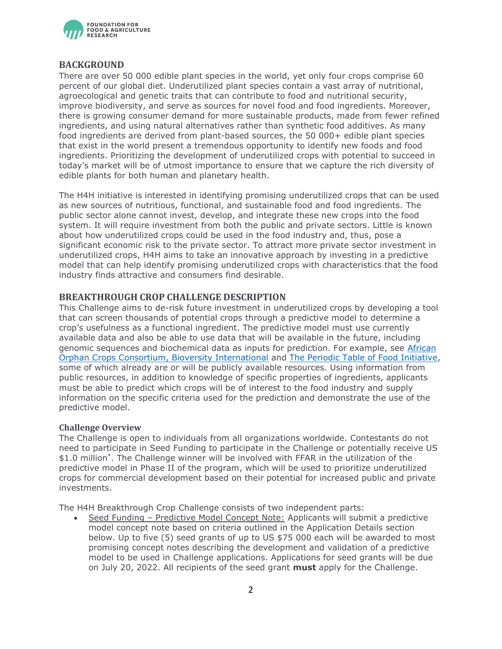

## **BACKGROUND**

There are over 50 000 edible plant species in the world, yet only four crops comprise 60 percent of our global diet. Underutilized plant species contain a vast array of nutritional, agroecological and genetic traits that can contribute to food and nutritional security, improve biodiversity, and serve as sources for novel food and food ingredients. Moreover, there is growing consumer demand for more sustainable products, made from fewer refined ingredients, and using natural alternatives rather than synthetic food additives. As many food ingredients are derived from plant-based sources, the 50 000+ edible plant species that exist in the world present a tremendous opportunity to identify new foods and food ingredients. Prioritizing the development of underutilized crops with potential to succeed in today's market will be of utmost importance to ensure that we capture the rich diversity of edible plants for both human and planetary health.

The H4H initiative is interested in identifying promising underutilized crops that can be used as new sources of nutritious, functional, and sustainable food and food ingredients. The public sector alone cannot invest, develop, and integrate these new crops into the food system. It will require investment from both the public and private sectors. Little is known about how underutilized crops could be used in the food industry and, thus, pose a significant economic risk to the private sector. To attract more private sector investment in underutilized crops, H4H aims to take an innovative approach by investing in a predictive model that can help identify promising underutilized crops with characteristics that the food industry finds attractive and consumers find desirable.

## **BREAKTHROUGH CROP CHALLENGE DESCRIPTION**

This Challenge aims to de-risk future investment in underutilized crops by developing a tool that can screen thousands of potential crops through a predictive model to determine a crop's usefulness as a functional ingredient. The predictive model must use currently available data and also be able to use data that will be available in the future, including genomic sequences and biochemical data as inputs for prediction. For example, see [African](http://africanorphancrops.org/)  [Orphan Crops Consortium,](http://africanorphancrops.org/) [Bioversity International](https://www.bioversityinternational.org/) and [The Periodic Table of Food Initiative,](https://foodperiodictable.org/) some of which already are or will be publicly available resources. Using information from public resources, in addition to knowledge of specific properties of ingredients, applicants must be able to predict which crops will be of interest to the food industry and supply information on the specific criteria used for the prediction and demonstrate the use of the predictive model.

#### **Challenge Overview**

The Challenge is open to individuals from all organizations worldwide. Contestants do not need to participate in Seed Funding to participate in the Challenge or potentially receive US \$1.0 million[\\*](#page-0-0) . The Challenge winner will be involved with FFAR in the utilization of the predictive model in Phase II of the program, which will be used to prioritize underutilized crops for commercial development based on their potential for increased public and private investments.

The H4H Breakthrough Crop Challenge consists of two independent parts:

• Seed Funding – Predictive Model Concept Note: Applicants will submit a predictive model concept note based on criteria outlined in the Application Details section below. Up to five (5) seed grants of up to US \$75 000 each will be awarded to most promising concept notes describing the development and validation of a predictive model to be used in Challenge applications. Applications for seed grants will be due on July 20, 2022. All recipients of the seed grant **must** apply for the Challenge.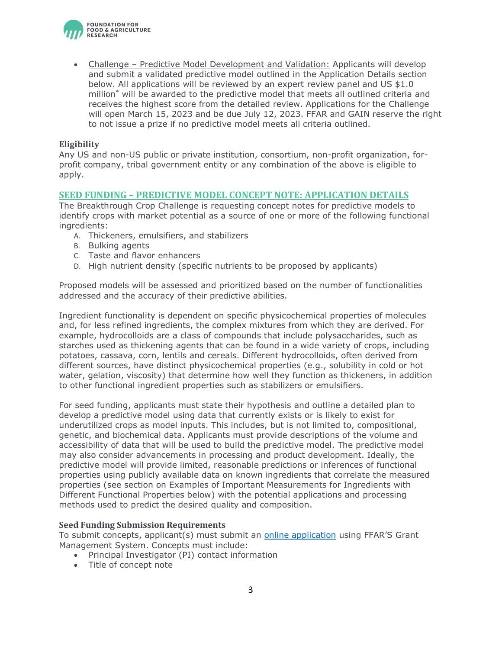

• Challenge – Predictive Model Development and Validation: Applicants will develop and submit a validated predictive model outlined in the Application Details section below. All applications will be reviewed by an expert review panel and US \$1.0 million[\\*](#page-0-0) will be awarded to the predictive model that meets all outlined criteria and receives the highest score from the detailed review. Applications for the Challenge will open March 15, 2023 and be due July 12, 2023. FFAR and GAIN reserve the right to not issue a prize if no predictive model meets all criteria outlined.

#### **Eligibility**

Any US and non-US public or private institution, consortium, non-profit organization, forprofit company, tribal government entity or any combination of the above is eligible to apply.

#### **SEED FUNDING – PREDICTIVE MODEL CONCEPT NOTE: APPLICATION DETAILS**

The Breakthrough Crop Challenge is requesting concept notes for predictive models to identify crops with market potential as a source of one or more of the following functional ingredients:

- A. Thickeners, emulsifiers, and stabilizers
- B. Bulking agents
- C. Taste and flavor enhancers
- D. High nutrient density (specific nutrients to be proposed by applicants)

Proposed models will be assessed and prioritized based on the number of functionalities addressed and the accuracy of their predictive abilities.

Ingredient functionality is dependent on specific physicochemical properties of molecules and, for less refined ingredients, the complex mixtures from which they are derived. For example, hydrocolloids are a class of compounds that include polysaccharides, such as starches used as thickening agents that can be found in a wide variety of crops, including potatoes, cassava, corn, lentils and cereals. Different hydrocolloids, often derived from different sources, have distinct physicochemical properties (e.g., solubility in cold or hot water, gelation, viscosity) that determine how well they function as thickeners, in addition to other functional ingredient properties such as stabilizers or emulsifiers.

For seed funding, applicants must state their hypothesis and outline a detailed plan to develop a predictive model using data that currently exists or is likely to exist for underutilized crops as model inputs. This includes, but is not limited to, compositional, genetic, and biochemical data. Applicants must provide descriptions of the volume and accessibility of data that will be used to build the predictive model. The predictive model may also consider advancements in processing and product development. Ideally, the predictive model will provide limited, reasonable predictions or inferences of functional properties using publicly available data on known ingredients that correlate the measured properties (see section on Examples of Important Measurements for Ingredients with Different Functional Properties below) with the potential applications and processing methods used to predict the desired quality and composition.

#### **Seed Funding Submission Requirements**

To submit concepts, applicant(s) must submit an [online application](https://www.grantrequest.com/SID_6242?SA=SNA&FID=35056) using FFAR'S Grant Management System. Concepts must include:

- Principal Investigator (PI) contact information
- Title of concept note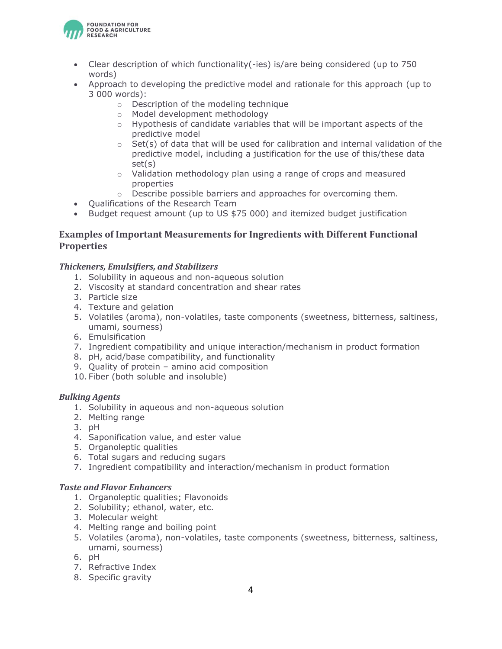

- Clear description of which functionality(-ies) is/are being considered (up to 750 words)
- Approach to developing the predictive model and rationale for this approach (up to 3 000 words):
	- o Description of the modeling technique
	- o Model development methodology
	- o Hypothesis of candidate variables that will be important aspects of the predictive model
	- $\circ$  Set(s) of data that will be used for calibration and internal validation of the predictive model, including a justification for the use of this/these data set(s)
	- $\circ$  Validation methodology plan using a range of crops and measured properties
	- o Describe possible barriers and approaches for overcoming them.
- Qualifications of the Research Team
- Budget request amount (up to US \$75 000) and itemized budget justification

# **Examples of Important Measurements for Ingredients with Different Functional Properties**

## *Thickeners, Emulsifiers, and Stabilizers*

- 1. Solubility in aqueous and non-aqueous solution
- 2. Viscosity at standard concentration and shear rates
- 3. Particle size
- 4. Texture and gelation
- 5. Volatiles (aroma), non-volatiles, taste components (sweetness, bitterness, saltiness, umami, sourness)
- 6. Emulsification
- 7. Ingredient compatibility and unique interaction/mechanism in product formation
- 8. pH, acid/base compatibility, and functionality
- 9. Quality of protein amino acid composition
- 10. Fiber (both soluble and insoluble)

## *Bulking Agents*

- 1. Solubility in aqueous and non-aqueous solution
- 2. Melting range
- 3. pH
- 4. Saponification value, and ester value
- 5. Organoleptic qualities
- 6. Total sugars and reducing sugars
- 7. Ingredient compatibility and interaction/mechanism in product formation

## *Taste and Flavor Enhancers*

- 1. Organoleptic qualities; Flavonoids
- 2. Solubility; ethanol, water, etc.
- 3. Molecular weight
- 4. Melting range and boiling point
- 5. Volatiles (aroma), non-volatiles, taste components (sweetness, bitterness, saltiness, umami, sourness)
- 6. pH
- 7. Refractive Index
- 8. Specific gravity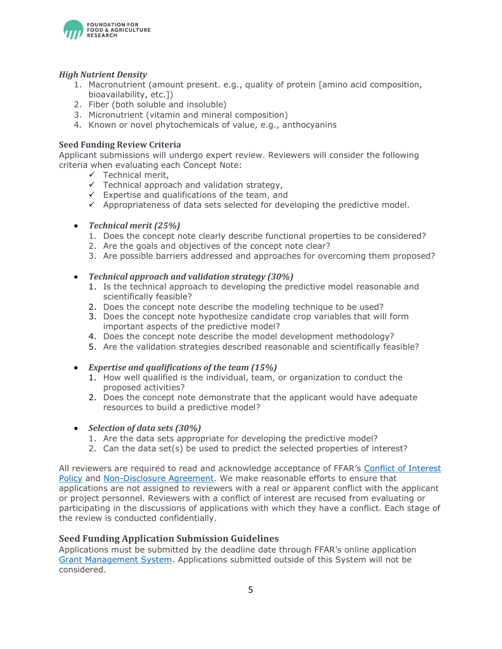

#### *High Nutrient Density*

- 1. Macronutrient (amount present. e.g., quality of protein [amino acid composition, bioavailability, etc.])
- 2. Fiber (both soluble and insoluble)
- 3. Micronutrient (vitamin and mineral composition)
- 4. Known or novel phytochemicals of value, e.g., anthocyanins

#### **Seed Funding Review Criteria**

Applicant submissions will undergo expert review. Reviewers will consider the following criteria when evaluating each Concept Note:

- $\checkmark$  Technical merit,
- $\checkmark$  Technical approach and validation strategy,
- $\checkmark$  Expertise and qualifications of the team, and
- $\checkmark$  Appropriateness of data sets selected for developing the predictive model.

#### • *Technical merit (25%)*

- 1. Does the concept note clearly describe functional properties to be considered?
- 2. Are the goals and objectives of the concept note clear?
- 3. Are possible barriers addressed and approaches for overcoming them proposed?
- *Technical approach and validation strategy (30%)*
	- 1. Is the technical approach to developing the predictive model reasonable and scientifically feasible?
	- 2. Does the concept note describe the modeling technique to be used?
	- 3. Does the concept note hypothesize candidate crop variables that will form important aspects of the predictive model?
	- 4. Does the concept note describe the model development methodology?
	- 5. Are the validation strategies described reasonable and scientifically feasible?
- *Expertise and qualifications of the team (15%)*
	- 1. How well qualified is the individual, team, or organization to conduct the proposed activities?
	- 2. Does the concept note demonstrate that the applicant would have adequate resources to build a predictive model?
- *Selection of data sets (30%)*
	- 1. Are the data sets appropriate for developing the predictive model?
	- 2. Can the data set(s) be used to predict the selected properties of interest?

All reviewers are required to read and acknowledge acceptance of FFAR's [Conflict of Interest](https://foundationfar.org/grants-funding/reviewer-conflict-of-interest-policies/)  [Policy](https://foundationfar.org/grants-funding/reviewer-conflict-of-interest-policies/) and [Non-Disclosure Agreement.](https://foundationfar.org/grants-funding/reviewer-non-disclosure-agreement/) We make reasonable efforts to ensure that applications are not assigned to reviewers with a real or apparent conflict with the applicant or project personnel. Reviewers with a conflict of interest are recused from evaluating or participating in the discussions of applications with which they have a conflict. Each stage of the review is conducted confidentially.

## **Seed Funding Application Submission Guidelines**

Applications must be submitted by the deadline date through FFAR's online application [Grant Management System.](https://www.grantrequest.com/SID_6242?SA=SNA&FID=35056) Applications submitted outside of this System will not be considered.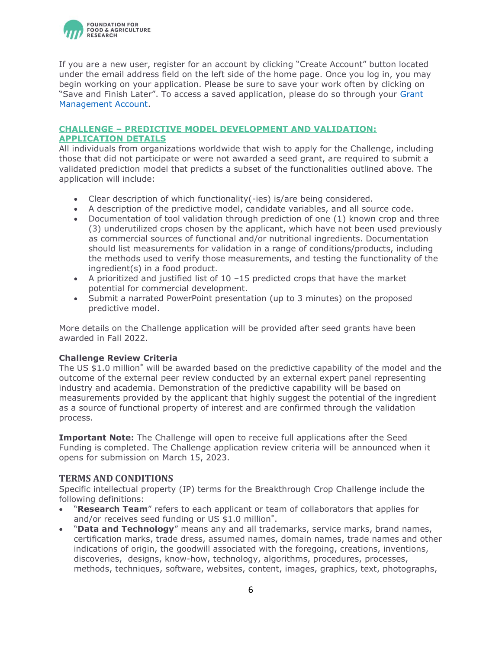

If you are a new user, register for an account by clicking "Create Account" button located under the email address field on the left side of the home page. Once you log in, you may begin working on your application. Please be sure to save your work often by clicking on "Save and Finish Later". To access a saved application, please do so through your Grant [Management Account.](https://www.grantrequest.com/SID_6242)

## **CHALLENGE – PREDICTIVE MODEL DEVELOPMENT AND VALIDATION: APPLICATION DETAILS**

All individuals from organizations worldwide that wish to apply for the Challenge, including those that did not participate or were not awarded a seed grant, are required to submit a validated prediction model that predicts a subset of the functionalities outlined above. The application will include:

- Clear description of which functionality(-ies) is/are being considered.
- A description of the predictive model, candidate variables, and all source code.
- Documentation of tool validation through prediction of one (1) known crop and three (3) underutilized crops chosen by the applicant, which have not been used previously as commercial sources of functional and/or nutritional ingredients. Documentation should list measurements for validation in a range of conditions/products, including the methods used to verify those measurements, and testing the functionality of the ingredient(s) in a food product.
- A prioritized and justified list of  $10 15$  predicted crops that have the market potential for commercial development.
- Submit a narrated PowerPoint presentation (up to 3 minutes) on the proposed predictive model.

More details on the Challenge application will be provided after seed grants have been awarded in Fall 2022.

## **Challenge Review Criteria**

The US \$1.0 million[\\*](#page-0-0) will be awarded based on the predictive capability of the model and the outcome of the external peer review conducted by an external expert panel representing industry and academia. Demonstration of the predictive capability will be based on measurements provided by the applicant that highly suggest the potential of the ingredient as a source of functional property of interest and are confirmed through the validation process.

**Important Note:** The Challenge will open to receive full applications after the Seed Funding is completed. The Challenge application review criteria will be announced when it opens for submission on March 15, 2023.

#### **TERMS AND CONDITIONS**

Specific intellectual property (IP) terms for the Breakthrough Crop Challenge include the following definitions:

- "**Research Team**" refers to each applicant or team of collaborators that applies for and/or receives seed funding or US \$1.0 million[\\*](#page-0-0) .
- "**Data and Technology**" means any and all trademarks, service marks, brand names, certification marks, trade dress, assumed names, domain names, trade names and other indications of origin, the goodwill associated with the foregoing, creations, inventions, discoveries, designs, know-how, technology, algorithms, procedures, processes, methods, techniques, software, websites, content, images, graphics, text, photographs,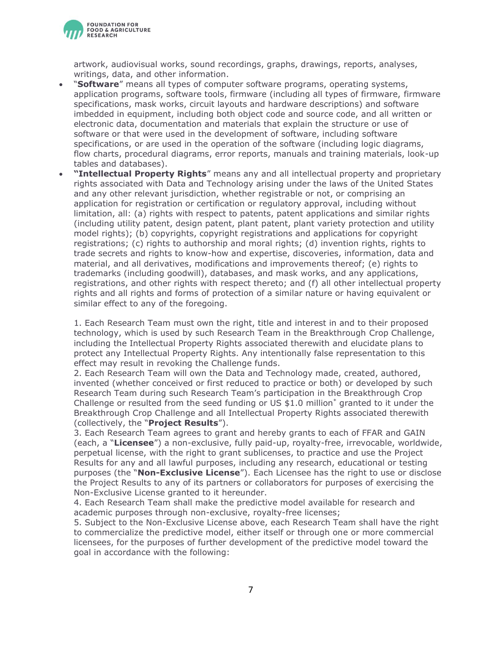

artwork, audiovisual works, sound recordings, graphs, drawings, reports, analyses, writings, data, and other information.

- "**Software**" means all types of computer software programs, operating systems, application programs, software tools, firmware (including all types of firmware, firmware specifications, mask works, circuit layouts and hardware descriptions) and software imbedded in equipment, including both object code and source code, and all written or electronic data, documentation and materials that explain the structure or use of software or that were used in the development of software, including software specifications, or are used in the operation of the software (including logic diagrams, flow charts, procedural diagrams, error reports, manuals and training materials, look-up tables and databases).
- **"Intellectual Property Rights**" means any and all intellectual property and proprietary rights associated with Data and Technology arising under the laws of the United States and any other relevant jurisdiction, whether registrable or not, or comprising an application for registration or certification or regulatory approval, including without limitation, all: (a) rights with respect to patents, patent applications and similar rights (including utility patent, design patent, plant patent, plant variety protection and utility model rights); (b) copyrights, copyright registrations and applications for copyright registrations; (c) rights to authorship and moral rights; (d) invention rights, rights to trade secrets and rights to know-how and expertise, discoveries, information, data and material, and all derivatives, modifications and improvements thereof; (e) rights to trademarks (including goodwill), databases, and mask works, and any applications, registrations, and other rights with respect thereto; and (f) all other intellectual property rights and all rights and forms of protection of a similar nature or having equivalent or similar effect to any of the foregoing.

1. Each Research Team must own the right, title and interest in and to their proposed technology, which is used by such Research Team in the Breakthrough Crop Challenge, including the Intellectual Property Rights associated therewith and elucidate plans to protect any Intellectual Property Rights. Any intentionally false representation to this effect may result in revoking the Challenge funds.

2. Each Research Team will own the Data and Technology made, created, authored, invented (whether conceived or first reduced to practice or both) or developed by such Research Team during such Research Team's participation in the Breakthrough Crop Challenge or resulted from the seed funding or US \$1.0 million[\\*](#page-0-0) granted to it under the Breakthrough Crop Challenge and all Intellectual Property Rights associated therewith (collectively, the "**Project Results**").

3. Each Research Team agrees to grant and hereby grants to each of FFAR and GAIN (each, a "**Licensee**") a non-exclusive, fully paid-up, royalty-free, irrevocable, worldwide, perpetual license, with the right to grant sublicenses, to practice and use the Project Results for any and all lawful purposes, including any research, educational or testing purposes (the "**Non-Exclusive License**"). Each Licensee has the right to use or disclose the Project Results to any of its partners or collaborators for purposes of exercising the Non-Exclusive License granted to it hereunder.

4. Each Research Team shall make the predictive model available for research and academic purposes through non-exclusive, royalty-free licenses;

5. Subject to the Non-Exclusive License above, each Research Team shall have the right to commercialize the predictive model, either itself or through one or more commercial licensees, for the purposes of further development of the predictive model toward the goal in accordance with the following: